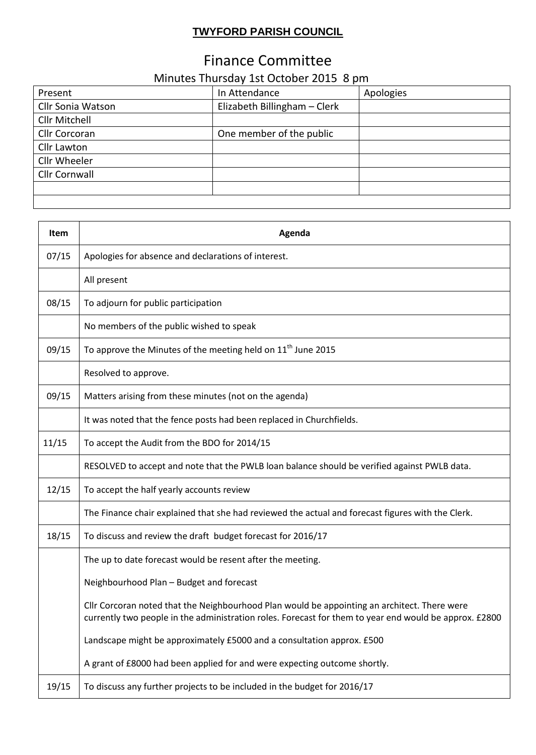## **TWYFORD PARISH COUNCIL**

## Finance Committee

## Minutes Thursday 1st October 2015 8 pm

| Present              | In Attendance                | Apologies |
|----------------------|------------------------------|-----------|
| Cllr Sonia Watson    | Elizabeth Billingham - Clerk |           |
| Cllr Mitchell        |                              |           |
| Cllr Corcoran        | One member of the public     |           |
| Cllr Lawton          |                              |           |
| Cllr Wheeler         |                              |           |
| <b>Cllr Cornwall</b> |                              |           |
|                      |                              |           |
|                      |                              |           |

| Item  | Agenda                                                                                                                                                                                                 |
|-------|--------------------------------------------------------------------------------------------------------------------------------------------------------------------------------------------------------|
| 07/15 | Apologies for absence and declarations of interest.                                                                                                                                                    |
|       | All present                                                                                                                                                                                            |
| 08/15 | To adjourn for public participation                                                                                                                                                                    |
|       | No members of the public wished to speak                                                                                                                                                               |
| 09/15 | To approve the Minutes of the meeting held on 11 <sup>th</sup> June 2015                                                                                                                               |
|       | Resolved to approve.                                                                                                                                                                                   |
| 09/15 | Matters arising from these minutes (not on the agenda)                                                                                                                                                 |
|       | It was noted that the fence posts had been replaced in Churchfields.                                                                                                                                   |
| 11/15 | To accept the Audit from the BDO for 2014/15                                                                                                                                                           |
|       | RESOLVED to accept and note that the PWLB loan balance should be verified against PWLB data.                                                                                                           |
| 12/15 | To accept the half yearly accounts review                                                                                                                                                              |
|       | The Finance chair explained that she had reviewed the actual and forecast figures with the Clerk.                                                                                                      |
| 18/15 | To discuss and review the draft budget forecast for 2016/17                                                                                                                                            |
|       | The up to date forecast would be resent after the meeting.                                                                                                                                             |
|       | Neighbourhood Plan - Budget and forecast                                                                                                                                                               |
|       | Cllr Corcoran noted that the Neighbourhood Plan would be appointing an architect. There were<br>currently two people in the administration roles. Forecast for them to year end would be approx. £2800 |
|       | Landscape might be approximately £5000 and a consultation approx. £500                                                                                                                                 |
|       | A grant of £8000 had been applied for and were expecting outcome shortly.                                                                                                                              |
| 19/15 | To discuss any further projects to be included in the budget for 2016/17                                                                                                                               |